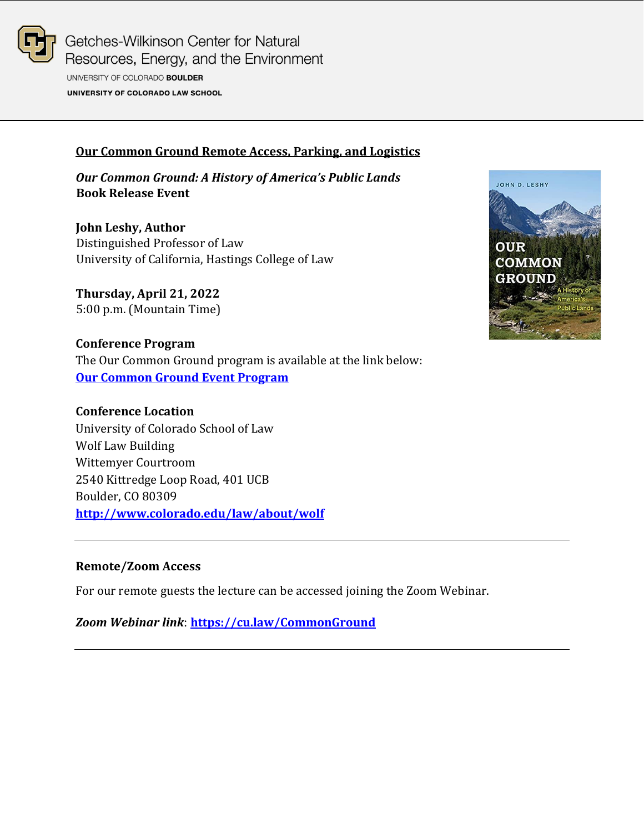

Getches-Wilkinson Center for Natural Resources, Energy, and the Environment UNIVERSITY OF COLORADO BOULDER UNIVERSITY OF COLORADO LAW SCHOOL

### **Our Common Ground Remote Access, Parking, and Logistics**

*Our Common Ground: A History of America's Public Lands* **Book Release Event**

**John Leshy, Author** Distinguished Professor of Law University of California, Hastings College of Law

**Thursday, April 21, 2022** 5:00 p.m. (Mountain Time)

**Conference Program** The Our Common Ground program is available at the link below: **[Our Common Ground](https://www.getches-wilkinsoncenter.cu.law/wp-content/uploads/2022/04/Our-Common-Ground-Book-Release.-Event-Program.pdf) Event Program**



## **Conference Location**

University of Colorado School of Law Wolf Law Building Wittemyer Courtroom 2540 Kittredge Loop Road, 401 UCB Boulder, CO 80309 **<http://www.colorado.edu/law/about/wolf>**

#### **Remote/Zoom Access**

For our remote guests the lecture can be accessed joining the Zoom Webinar.

*Zoom Webinar link*: **<https://cu.law/CommonGround>**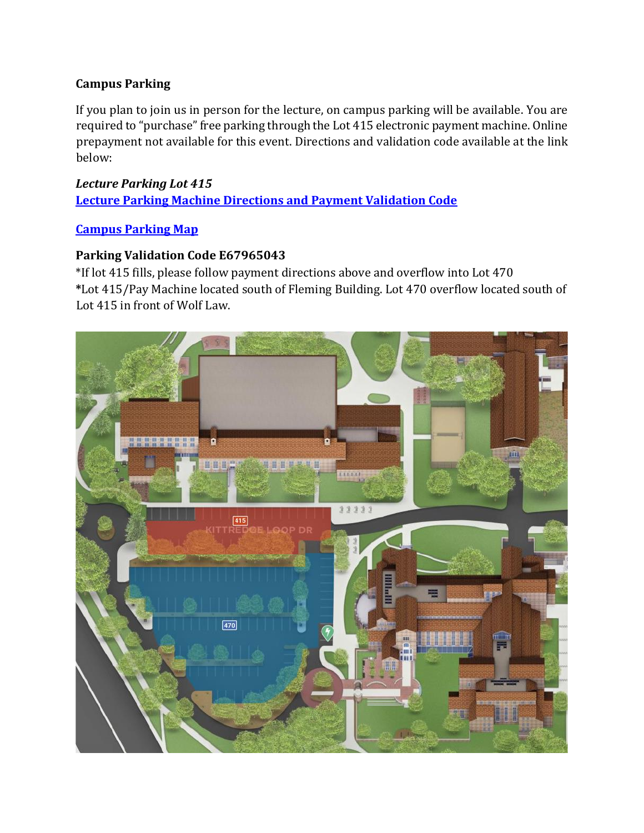## **Campus Parking**

If you plan to join us in person for the lecture, on campus parking will be available. You are required to "purchase" free parking through the Lot 415 electronic payment machine. Online prepayment not available for this event. Directions and validation code available at the link below:

# *Lecture Parking Lot 415* **Lecture [Parking Machine Directions and Payment Validation Code](https://www.getches-wilkinsoncenter.cu.law/wp-content/uploads/2022/04/04.21.22-Getches-Wilkinson-Center-Our-Common-Ground-Book-Release-Parking-Machine-Instructions-and-Code.pdf)**

## **[Campus Parking Map](https://www.colorado.edu/map/?id=336#!ce/2739?ct/20989,20990,20991,20992,20993,20994,26118,2739?mc/40.00563459437513,-105.2595376968384?z/16?lvl/0)**

## **Parking Validation Code E67965043**

\*If lot 415 fills, please follow payment directions above and overflow into Lot 470 **\***Lot 415/Pay Machine located south of Fleming Building. Lot 470 overflow located south of Lot 415 in front of Wolf Law.